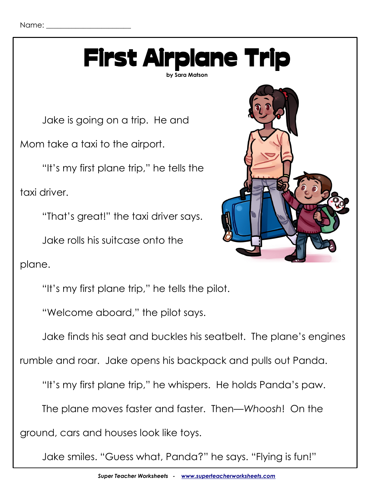

Jake is going on a trip. He and

Mom take a taxi to the airport.

"It's my first plane trip," he tells the

taxi driver.

"That's great!" the taxi driver says.

Jake rolls his suitcase onto the

plane.

"It's my first plane trip," he tells the pilot.

"Welcome aboard," the pilot says.

Jake finds his seat and buckles his seatbelt. The plane's engines

rumble and roar. Jake opens his backpack and pulls out Panda.

"It's my first plane trip," he whispers. He holds Panda's paw.

The plane moves faster and faster. Then—*Whoosh*! On the

ground, cars and houses look like toys.

Jake smiles. "Guess what, Panda?" he says. "Flying is fun!"

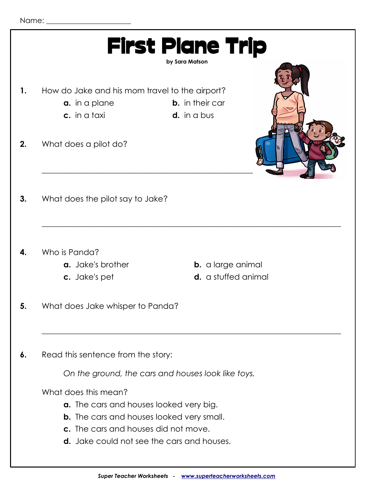|    | <b>First Plane Trip</b><br>by Sara Matson                                                                     |  |
|----|---------------------------------------------------------------------------------------------------------------|--|
| 1. | How do Jake and his mom travel to the airport?                                                                |  |
|    | <b>b.</b> in their car<br><b>a.</b> in a plane                                                                |  |
|    | c. in a taxi<br>$d.$ in a bus                                                                                 |  |
|    |                                                                                                               |  |
| 2. | What does a pilot do?                                                                                         |  |
| 3. | What does the pilot say to Jake?                                                                              |  |
| 4. | Who is Panda?<br>a. Jake's brother<br><b>b.</b> a large animal<br><b>d.</b> a stuffed animal<br>c. Jake's pet |  |
| 5. | What does Jake whisper to Panda?                                                                              |  |
| 6. | Read this sentence from the story:                                                                            |  |
|    | On the ground, the cars and houses look like toys.                                                            |  |
|    | What does this mean?                                                                                          |  |
|    | a. The cars and houses looked very big.                                                                       |  |
|    | <b>b.</b> The cars and houses looked very small.                                                              |  |
|    | c. The cars and houses did not move.                                                                          |  |
|    | <b>d.</b> Jake could not see the cars and houses.                                                             |  |
|    |                                                                                                               |  |